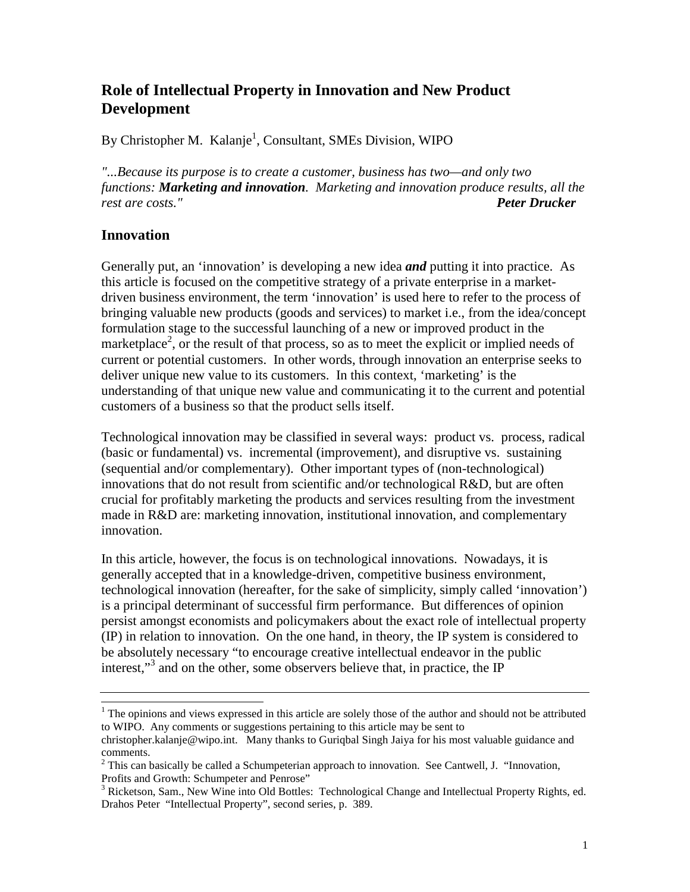# **Role of Intellectual Property in Innovation and New Product Development**

By Christopher M. Kalanje<sup>1</sup>, Consultant, SMEs Division, WIPO

*"...Because its purpose is to create a customer, business has two—and only two functions: Marketing and innovation. Marketing and innovation produce results, all the rest are costs." Peter Drucker*

### **Innovation**

Generally put, an 'innovation' is developing a new idea *and* putting it into practice. As this article is focused on the competitive strategy of a private enterprise in a marketdriven business environment, the term 'innovation' is used here to refer to the process of bringing valuable new products (goods and services) to market i.e., from the idea/concept formulation stage to the successful launching of a new or improved product in the marketplace<sup>2</sup>, or the result of that process, so as to meet the explicit or implied needs of current or potential customers. In other words, through innovation an enterprise seeks to deliver unique new value to its customers. In this context, 'marketing' is the understanding of that unique new value and communicating it to the current and potential customers of a business so that the product sells itself.

Technological innovation may be classified in several ways: product vs. process, radical (basic or fundamental) vs. incremental (improvement), and disruptive vs. sustaining (sequential and/or complementary). Other important types of (non-technological) innovations that do not result from scientific and/or technological R&D, but are often crucial for profitably marketing the products and services resulting from the investment made in R&D are: marketing innovation, institutional innovation, and complementary innovation.

In this article, however, the focus is on technological innovations. Nowadays, it is generally accepted that in a knowledge-driven, competitive business environment, technological innovation (hereafter, for the sake of simplicity, simply called 'innovation') is a principal determinant of successful firm performance. But differences of opinion persist amongst economists and policymakers about the exact role of intellectual property (IP) in relation to innovation. On the one hand, in theory, the IP system is considered to be absolutely necessary "to encourage creative intellectual endeavor in the public interest,"<sup>3</sup> and on the other, some observers believe that, in practice, the IP

 $1$  The opinions and views expressed in this article are solely those of the author and should not be attributed to WIPO. Any comments or suggestions pertaining to this article may be sent to christopher.kalanje@wipo.int. Many thanks to Guriqbal Singh Jaiya for his most valuable guidance and

comments.

 $2$  This can basically be called a Schumpeterian approach to innovation. See Cantwell, J. "Innovation, Profits and Growth: Schumpeter and Penrose"

<sup>&</sup>lt;sup>3</sup> Ricketson, Sam., New Wine into Old Bottles: Technological Change and Intellectual Property Rights, ed. Drahos Peter "Intellectual Property", second series, p. 389.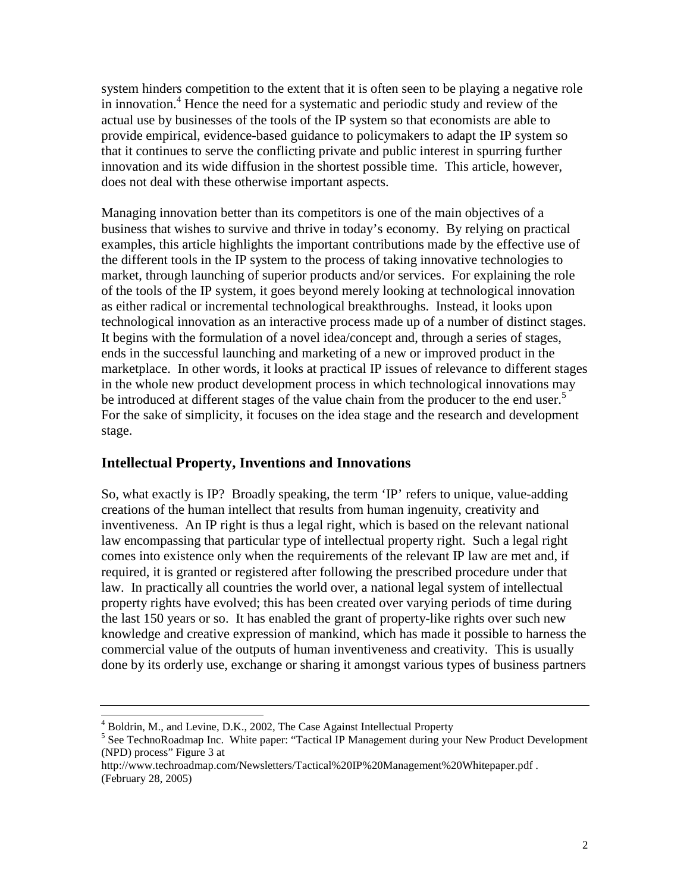system hinders competition to the extent that it is often seen to be playing a negative role in innovation.<sup>4</sup> Hence the need for a systematic and periodic study and review of the actual use by businesses of the tools of the IP system so that economists are able to provide empirical, evidence-based guidance to policymakers to adapt the IP system so that it continues to serve the conflicting private and public interest in spurring further innovation and its wide diffusion in the shortest possible time. This article, however, does not deal with these otherwise important aspects.

Managing innovation better than its competitors is one of the main objectives of a business that wishes to survive and thrive in today's economy. By relying on practical examples, this article highlights the important contributions made by the effective use of the different tools in the IP system to the process of taking innovative technologies to market, through launching of superior products and/or services. For explaining the role of the tools of the IP system, it goes beyond merely looking at technological innovation as either radical or incremental technological breakthroughs. Instead, it looks upon technological innovation as an interactive process made up of a number of distinct stages. It begins with the formulation of a novel idea/concept and, through a series of stages, ends in the successful launching and marketing of a new or improved product in the marketplace. In other words, it looks at practical IP issues of relevance to different stages in the whole new product development process in which technological innovations may be introduced at different stages of the value chain from the producer to the end user.<sup>5</sup> For the sake of simplicity, it focuses on the idea stage and the research and development stage.

### **Intellectual Property, Inventions and Innovations**

So, what exactly is IP? Broadly speaking, the term 'IP' refers to unique, value-adding creations of the human intellect that results from human ingenuity, creativity and inventiveness. An IP right is thus a legal right, which is based on the relevant national law encompassing that particular type of intellectual property right. Such a legal right comes into existence only when the requirements of the relevant IP law are met and, if required, it is granted or registered after following the prescribed procedure under that law. In practically all countries the world over, a national legal system of intellectual property rights have evolved; this has been created over varying periods of time during the last 150 years or so. It has enabled the grant of property-like rights over such new knowledge and creative expression of mankind, which has made it possible to harness the commercial value of the outputs of human inventiveness and creativity. This is usually done by its orderly use, exchange or sharing it amongst various types of business partners

 $^{4}$  Boldrin, M., and Levine, D.K., 2002, The Case Against Intellectual Property  $^{5}$  See Techno Boodman Inc. White paper: "Tectical IB Managament during you

<sup>&</sup>lt;sup>5</sup> See TechnoRoadmap Inc. White paper: "Tactical IP Management during your New Product Development (NPD) process" Figure 3 at

http://www.techroadmap.com/Newsletters/Tactical%20IP%20Management%20Whitepaper.pdf . (February 28, 2005)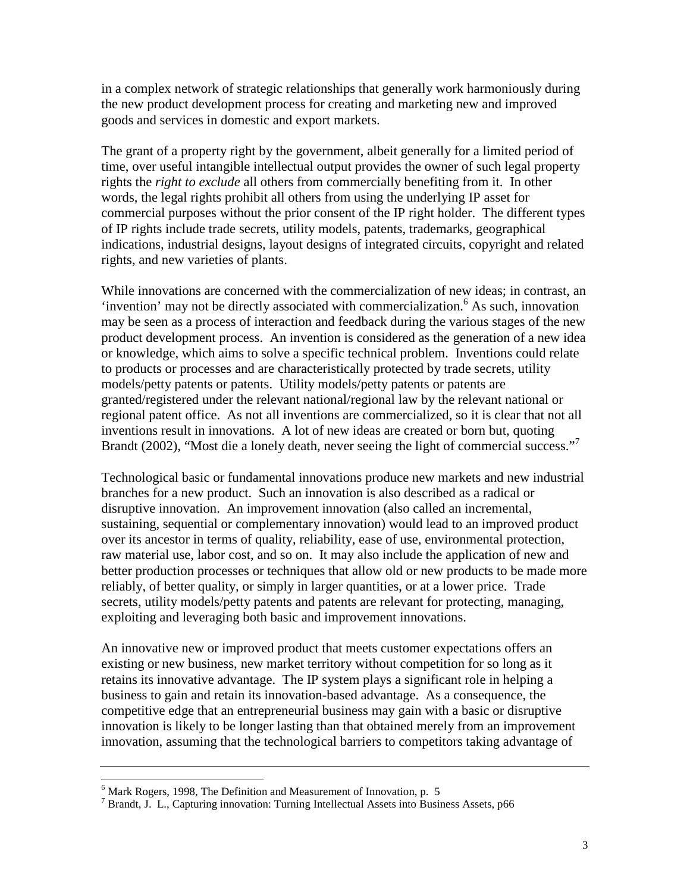in a complex network of strategic relationships that generally work harmoniously during the new product development process for creating and marketing new and improved goods and services in domestic and export markets.

The grant of a property right by the government, albeit generally for a limited period of time, over useful intangible intellectual output provides the owner of such legal property rights the *right to exclude* all others from commercially benefiting from it. In other words, the legal rights prohibit all others from using the underlying IP asset for commercial purposes without the prior consent of the IP right holder. The different types of IP rights include trade secrets, utility models, patents, trademarks, geographical indications, industrial designs, layout designs of integrated circuits, copyright and related rights, and new varieties of plants.

While innovations are concerned with the commercialization of new ideas; in contrast, an 'invention' may not be directly associated with commercialization.<sup>6</sup> As such, innovation may be seen as a process of interaction and feedback during the various stages of the new product development process. An invention is considered as the generation of a new idea or knowledge, which aims to solve a specific technical problem. Inventions could relate to products or processes and are characteristically protected by trade secrets, utility models/petty patents or patents. Utility models/petty patents or patents are granted/registered under the relevant national/regional law by the relevant national or regional patent office. As not all inventions are commercialized, so it is clear that not all inventions result in innovations. A lot of new ideas are created or born but, quoting Brandt (2002), "Most die a lonely death, never seeing the light of commercial success."<sup>7</sup>

Technological basic or fundamental innovations produce new markets and new industrial branches for a new product. Such an innovation is also described as a radical or disruptive innovation. An improvement innovation (also called an incremental, sustaining, sequential or complementary innovation) would lead to an improved product over its ancestor in terms of quality, reliability, ease of use, environmental protection, raw material use, labor cost, and so on. It may also include the application of new and better production processes or techniques that allow old or new products to be made more reliably, of better quality, or simply in larger quantities, or at a lower price. Trade secrets, utility models/petty patents and patents are relevant for protecting, managing, exploiting and leveraging both basic and improvement innovations.

An innovative new or improved product that meets customer expectations offers an existing or new business, new market territory without competition for so long as it retains its innovative advantage. The IP system plays a significant role in helping a business to gain and retain its innovation-based advantage. As a consequence, the competitive edge that an entrepreneurial business may gain with a basic or disruptive innovation is likely to be longer lasting than that obtained merely from an improvement innovation, assuming that the technological barriers to competitors taking advantage of

<sup>&</sup>lt;sup>6</sup> Mark Rogers, 1998, The Definition and Measurement of Innovation, p. 5

<sup>&</sup>lt;sup>7</sup> Brandt, J. L., Capturing innovation: Turning Intellectual Assets into Business Assets, p66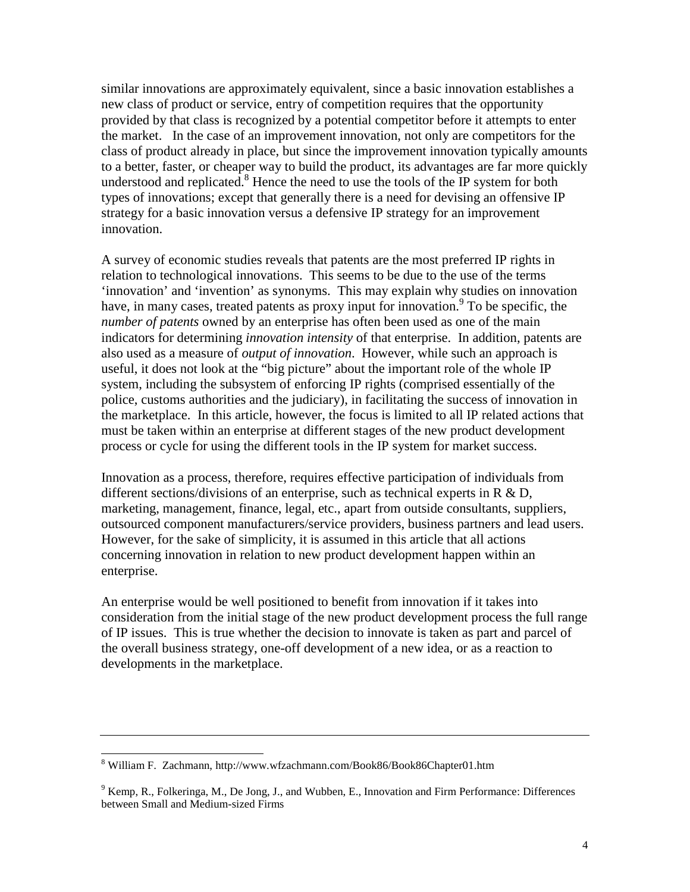similar innovations are approximately equivalent, since a basic innovation establishes a new class of product or service, entry of competition requires that the opportunity provided by that class is recognized by a potential competitor before it attempts to enter the market. In the case of an improvement innovation, not only are competitors for the class of product already in place, but since the improvement innovation typically amounts to a better, faster, or cheaper way to build the product, its advantages are far more quickly understood and replicated. $8$  Hence the need to use the tools of the IP system for both types of innovations; except that generally there is a need for devising an offensive IP strategy for a basic innovation versus a defensive IP strategy for an improvement innovation.

A survey of economic studies reveals that patents are the most preferred IP rights in relation to technological innovations. This seems to be due to the use of the terms 'innovation' and 'invention' as synonyms. This may explain why studies on innovation have, in many cases, treated patents as proxy input for innovation.<sup>9</sup> To be specific, the *number of patents* owned by an enterprise has often been used as one of the main indicators for determining *innovation intensity* of that enterprise. In addition, patents are also used as a measure of *output of innovation*. However, while such an approach is useful, it does not look at the "big picture" about the important role of the whole IP system, including the subsystem of enforcing IP rights (comprised essentially of the police, customs authorities and the judiciary), in facilitating the success of innovation in the marketplace. In this article, however, the focus is limited to all IP related actions that must be taken within an enterprise at different stages of the new product development process or cycle for using the different tools in the IP system for market success.

Innovation as a process, therefore, requires effective participation of individuals from different sections/divisions of an enterprise, such as technical experts in  $R \& D$ , marketing, management, finance, legal, etc., apart from outside consultants, suppliers, outsourced component manufacturers/service providers, business partners and lead users. However, for the sake of simplicity, it is assumed in this article that all actions concerning innovation in relation to new product development happen within an enterprise.

An enterprise would be well positioned to benefit from innovation if it takes into consideration from the initial stage of the new product development process the full range of IP issues. This is true whether the decision to innovate is taken as part and parcel of the overall business strategy, one-off development of a new idea, or as a reaction to developments in the marketplace.

<sup>&</sup>lt;sup>8</sup> William F. Zachmann, http://www.wfzachmann.com/Book86/Book86Chapter01.htm

 $9$  Kemp, R., Folkeringa, M., De Jong, J., and Wubben, E., Innovation and Firm Performance: Differences between Small and Medium-sized Firms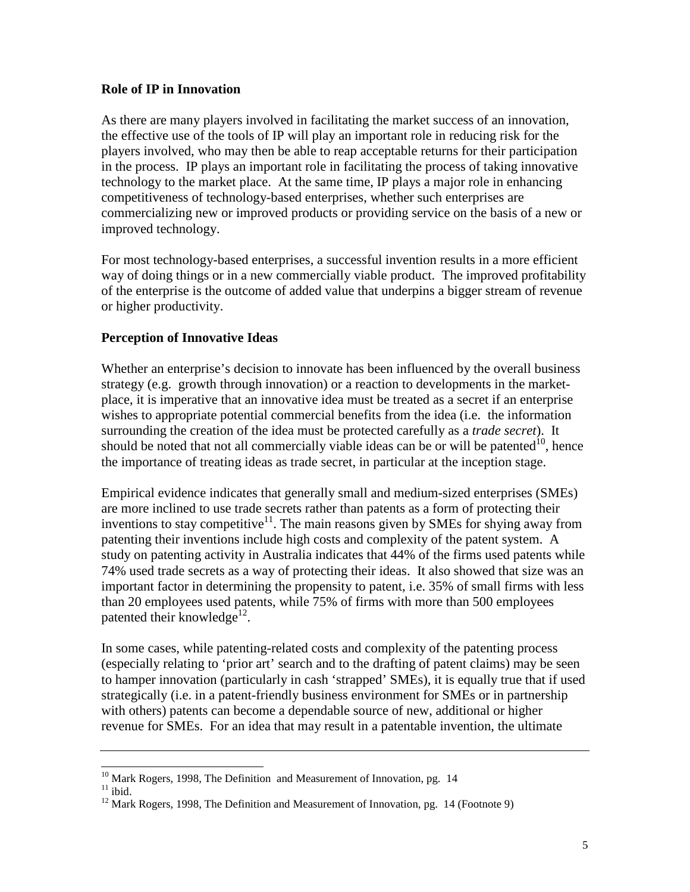#### **Role of IP in Innovation**

As there are many players involved in facilitating the market success of an innovation, the effective use of the tools of IP will play an important role in reducing risk for the players involved, who may then be able to reap acceptable returns for their participation in the process. IP plays an important role in facilitating the process of taking innovative technology to the market place. At the same time, IP plays a major role in enhancing competitiveness of technology-based enterprises, whether such enterprises are commercializing new or improved products or providing service on the basis of a new or improved technology.

For most technology-based enterprises, a successful invention results in a more efficient way of doing things or in a new commercially viable product. The improved profitability of the enterprise is the outcome of added value that underpins a bigger stream of revenue or higher productivity.

### **Perception of Innovative Ideas**

Whether an enterprise's decision to innovate has been influenced by the overall business strategy (e.g. growth through innovation) or a reaction to developments in the marketplace, it is imperative that an innovative idea must be treated as a secret if an enterprise wishes to appropriate potential commercial benefits from the idea (i.e. the information surrounding the creation of the idea must be protected carefully as a *trade secret*). It should be noted that not all commercially viable ideas can be or will be patented<sup>10</sup>, hence the importance of treating ideas as trade secret, in particular at the inception stage.

Empirical evidence indicates that generally small and medium-sized enterprises (SMEs) are more inclined to use trade secrets rather than patents as a form of protecting their inventions to stay competitive<sup>11</sup>. The main reasons given by SMEs for shying away from patenting their inventions include high costs and complexity of the patent system. A study on patenting activity in Australia indicates that 44% of the firms used patents while 74% used trade secrets as a way of protecting their ideas. It also showed that size was an important factor in determining the propensity to patent, i.e. 35% of small firms with less than 20 employees used patents, while 75% of firms with more than 500 employees patented their knowledge<sup>12</sup>.

In some cases, while patenting-related costs and complexity of the patenting process (especially relating to 'prior art' search and to the drafting of patent claims) may be seen to hamper innovation (particularly in cash 'strapped' SMEs), it is equally true that if used strategically (i.e. in a patent-friendly business environment for SMEs or in partnership with others) patents can become a dependable source of new, additional or higher revenue for SMEs. For an idea that may result in a patentable invention, the ultimate

<sup>&</sup>lt;sup>10</sup> Mark Rogers, 1998, The Definition and Measurement of Innovation, pg. 14<sup>11</sup> ibid

<sup>&</sup>lt;sup>12</sup> Mark Rogers, 1998, The Definition and Measurement of Innovation, pg. 14 (Footnote 9)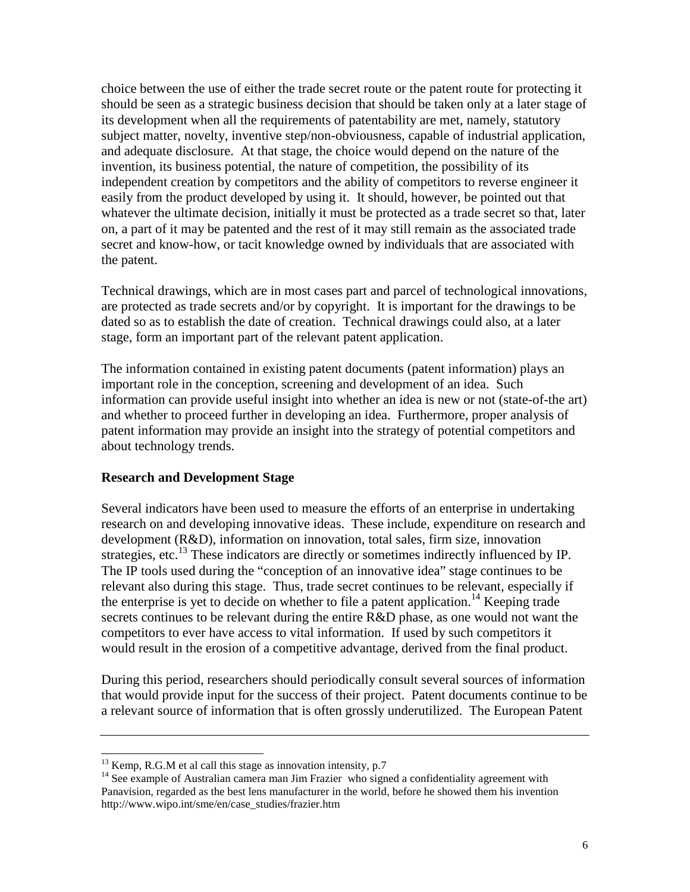choice between the use of either the trade secret route or the patent route for protecting it should be seen as a strategic business decision that should be taken only at a later stage of its development when all the requirements of patentability are met, namely, statutory subject matter, novelty, inventive step/non-obviousness, capable of industrial application, and adequate disclosure. At that stage, the choice would depend on the nature of the invention, its business potential, the nature of competition, the possibility of its independent creation by competitors and the ability of competitors to reverse engineer it easily from the product developed by using it. It should, however, be pointed out that whatever the ultimate decision, initially it must be protected as a trade secret so that, later on, a part of it may be patented and the rest of it may still remain as the associated trade secret and know-how, or tacit knowledge owned by individuals that are associated with the patent.

Technical drawings, which are in most cases part and parcel of technological innovations, are protected as trade secrets and/or by copyright. It is important for the drawings to be dated so as to establish the date of creation. Technical drawings could also, at a later stage, form an important part of the relevant patent application.

The information contained in existing patent documents (patent information) plays an important role in the conception, screening and development of an idea. Such information can provide useful insight into whether an idea is new or not (state-of-the art) and whether to proceed further in developing an idea. Furthermore, proper analysis of patent information may provide an insight into the strategy of potential competitors and about technology trends.

#### **Research and Development Stage**

Several indicators have been used to measure the efforts of an enterprise in undertaking research on and developing innovative ideas. These include, expenditure on research and development (R&D), information on innovation, total sales, firm size, innovation strategies, etc.<sup>13</sup> These indicators are directly or sometimes indirectly influenced by IP. The IP tools used during the "conception of an innovative idea" stage continues to be relevant also during this stage. Thus, trade secret continues to be relevant, especially if the enterprise is yet to decide on whether to file a patent application.<sup>14</sup> Keeping trade secrets continues to be relevant during the entire R&D phase, as one would not want the competitors to ever have access to vital information. If used by such competitors it would result in the erosion of a competitive advantage, derived from the final product.

During this period, researchers should periodically consult several sources of information that would provide input for the success of their project. Patent documents continue to be a relevant source of information that is often grossly underutilized. The European Patent

 $13$  Kemp, R.G.M et al call this stage as innovation intensity, p.7

<sup>&</sup>lt;sup>14</sup> See example of Australian camera man Jim Frazier who signed a confidentiality agreement with Panavision, regarded as the best lens manufacturer in the world, before he showed them his invention http://www.wipo.int/sme/en/case\_studies/frazier.htm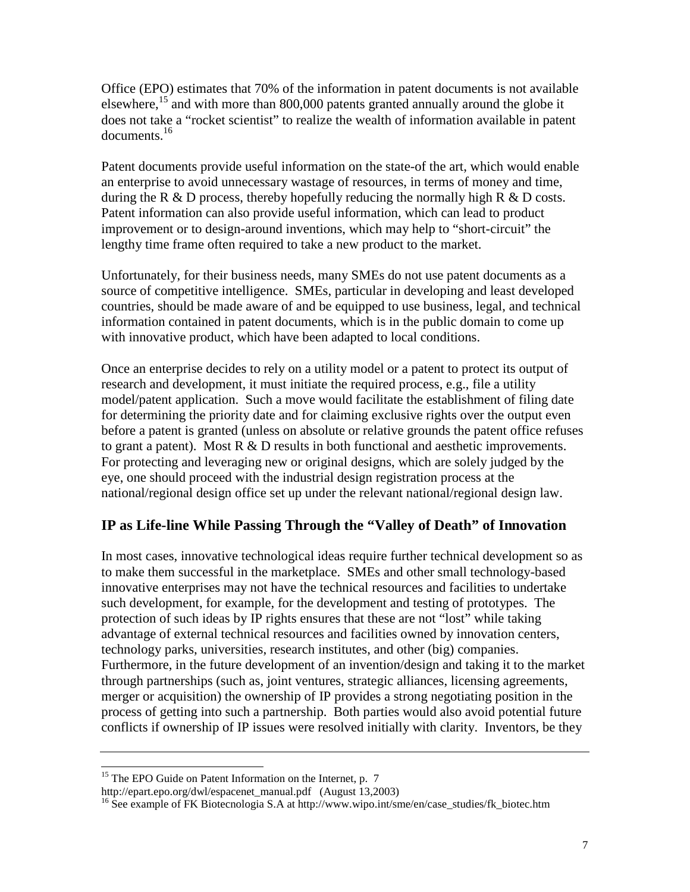Office (EPO) estimates that 70% of the information in patent documents is not available elsewhere,15 and with more than 800,000 patents granted annually around the globe it does not take a "rocket scientist" to realize the wealth of information available in patent documents.16

Patent documents provide useful information on the state-of the art, which would enable an enterprise to avoid unnecessary wastage of resources, in terms of money and time, during the R  $\&$  D process, thereby hopefully reducing the normally high R  $\&$  D costs. Patent information can also provide useful information, which can lead to product improvement or to design-around inventions, which may help to "short-circuit" the lengthy time frame often required to take a new product to the market.

Unfortunately, for their business needs, many SMEs do not use patent documents as a source of competitive intelligence. SMEs, particular in developing and least developed countries, should be made aware of and be equipped to use business, legal, and technical information contained in patent documents, which is in the public domain to come up with innovative product, which have been adapted to local conditions.

Once an enterprise decides to rely on a utility model or a patent to protect its output of research and development, it must initiate the required process, e.g., file a utility model/patent application. Such a move would facilitate the establishment of filing date for determining the priority date and for claiming exclusive rights over the output even before a patent is granted (unless on absolute or relative grounds the patent office refuses to grant a patent). Most  $R \& D$  results in both functional and aesthetic improvements. For protecting and leveraging new or original designs, which are solely judged by the eye, one should proceed with the industrial design registration process at the national/regional design office set up under the relevant national/regional design law.

# **IP as Life-line While Passing Through the "Valley of Death" of Innovation**

In most cases, innovative technological ideas require further technical development so as to make them successful in the marketplace. SMEs and other small technology-based innovative enterprises may not have the technical resources and facilities to undertake such development, for example, for the development and testing of prototypes. The protection of such ideas by IP rights ensures that these are not "lost" while taking advantage of external technical resources and facilities owned by innovation centers, technology parks, universities, research institutes, and other (big) companies. Furthermore, in the future development of an invention/design and taking it to the market through partnerships (such as, joint ventures, strategic alliances, licensing agreements, merger or acquisition) the ownership of IP provides a strong negotiating position in the process of getting into such a partnership. Both parties would also avoid potential future conflicts if ownership of IP issues were resolved initially with clarity. Inventors, be they

<sup>&</sup>lt;sup>15</sup> The EPO Guide on Patent Information on the Internet, p. 7<br>http://epart.epo.org/dwl/espacenet\_manual.pdf (August 13,2003)

<sup>&</sup>lt;sup>16</sup> See example of FK Biotecnologia S.A at http://www.wipo.int/sme/en/case\_studies/fk\_biotec.htm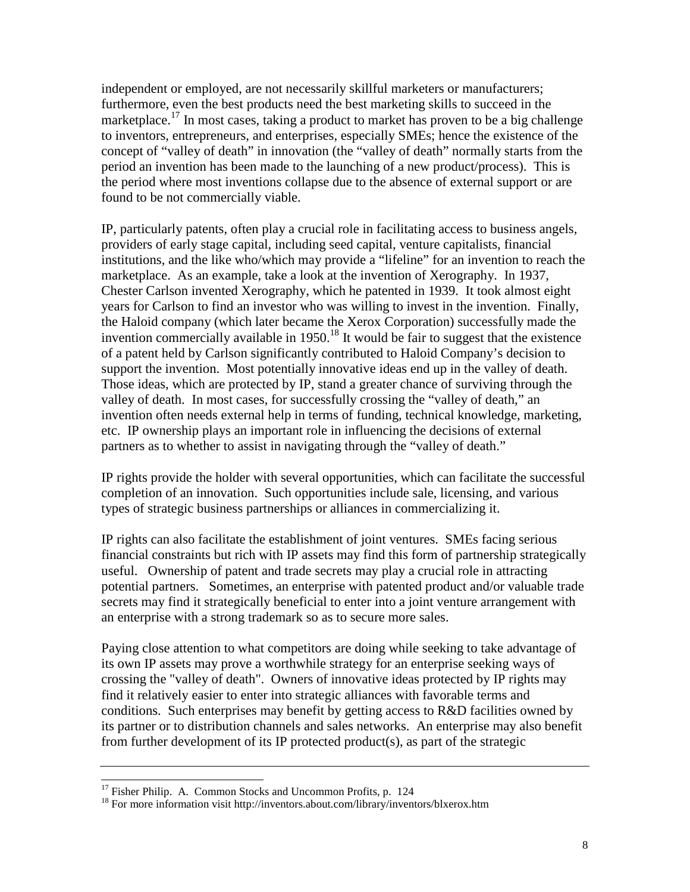independent or employed, are not necessarily skillful marketers or manufacturers; furthermore, even the best products need the best marketing skills to succeed in the marketplace.<sup>17</sup> In most cases, taking a product to market has proven to be a big challenge to inventors, entrepreneurs, and enterprises, especially SMEs; hence the existence of the concept of "valley of death" in innovation (the "valley of death" normally starts from the period an invention has been made to the launching of a new product/process). This is the period where most inventions collapse due to the absence of external support or are found to be not commercially viable.

IP, particularly patents, often play a crucial role in facilitating access to business angels, providers of early stage capital, including seed capital, venture capitalists, financial institutions, and the like who/which may provide a "lifeline" for an invention to reach the marketplace. As an example, take a look at the invention of Xerography. In 1937, Chester Carlson invented Xerography, which he patented in 1939. It took almost eight years for Carlson to find an investor who was willing to invest in the invention. Finally, the Haloid company (which later became the Xerox Corporation) successfully made the invention commercially available in 1950.<sup>18</sup> It would be fair to suggest that the existence of a patent held by Carlson significantly contributed to Haloid Company's decision to support the invention. Most potentially innovative ideas end up in the valley of death. Those ideas, which are protected by IP, stand a greater chance of surviving through the valley of death. In most cases, for successfully crossing the "valley of death," an invention often needs external help in terms of funding, technical knowledge, marketing, etc. IP ownership plays an important role in influencing the decisions of external partners as to whether to assist in navigating through the "valley of death."

IP rights provide the holder with several opportunities, which can facilitate the successful completion of an innovation. Such opportunities include sale, licensing, and various types of strategic business partnerships or alliances in commercializing it.

IP rights can also facilitate the establishment of joint ventures. SMEs facing serious financial constraints but rich with IP assets may find this form of partnership strategically useful. Ownership of patent and trade secrets may play a crucial role in attracting potential partners. Sometimes, an enterprise with patented product and/or valuable trade secrets may find it strategically beneficial to enter into a joint venture arrangement with an enterprise with a strong trademark so as to secure more sales.

Paying close attention to what competitors are doing while seeking to take advantage of its own IP assets may prove a worthwhile strategy for an enterprise seeking ways of crossing the "valley of death". Owners of innovative ideas protected by IP rights may find it relatively easier to enter into strategic alliances with favorable terms and conditions. Such enterprises may benefit by getting access to R&D facilities owned by its partner or to distribution channels and sales networks. An enterprise may also benefit from further development of its IP protected product(s), as part of the strategic

 $17$  Fisher Philip. A. Common Stocks and Uncommon Profits, p. 124

<sup>&</sup>lt;sup>18</sup> For more information visit http://inventors.about.com/library/inventors/blxerox.htm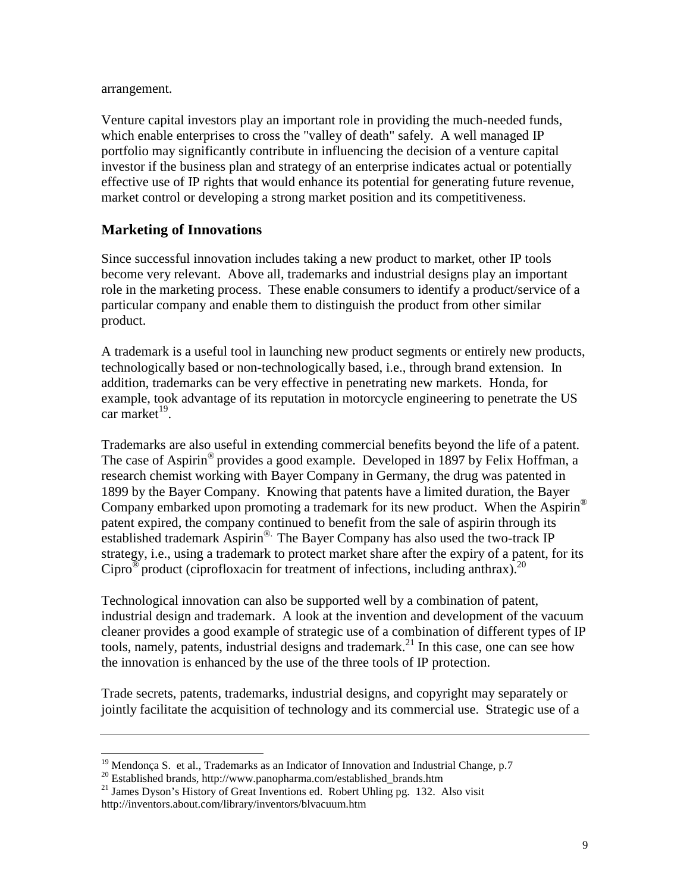arrangement.

Venture capital investors play an important role in providing the much-needed funds, which enable enterprises to cross the "valley of death" safely. A well managed IP portfolio may significantly contribute in influencing the decision of a venture capital investor if the business plan and strategy of an enterprise indicates actual or potentially effective use of IP rights that would enhance its potential for generating future revenue, market control or developing a strong market position and its competitiveness.

## **Marketing of Innovations**

Since successful innovation includes taking a new product to market, other IP tools become very relevant. Above all, trademarks and industrial designs play an important role in the marketing process. These enable consumers to identify a product/service of a particular company and enable them to distinguish the product from other similar product.

A trademark is a useful tool in launching new product segments or entirely new products, technologically based or non-technologically based, i.e., through brand extension. In addition, trademarks can be very effective in penetrating new markets. Honda, for example, took advantage of its reputation in motorcycle engineering to penetrate the US car market $^{19}$ .

Trademarks are also useful in extending commercial benefits beyond the life of a patent. The case of Aspirin® provides a good example. Developed in 1897 by Felix Hoffman, a research chemist working with Bayer Company in Germany, the drug was patented in 1899 by the Bayer Company. Knowing that patents have a limited duration, the Bayer Company embarked upon promoting a trademark for its new product. When the Aspirin<sup>®</sup> patent expired, the company continued to benefit from the sale of aspirin through its established trademark Aspirin®. The Bayer Company has also used the two-track IP strategy, i.e., using a trademark to protect market share after the expiry of a patent, for its Cipro<sup>®</sup> product (ciprofloxacin for treatment of infections, including anthrax).<sup>20</sup>

Technological innovation can also be supported well by a combination of patent, industrial design and trademark. A look at the invention and development of the vacuum cleaner provides a good example of strategic use of a combination of different types of IP tools, namely, patents, industrial designs and trademark.<sup>21</sup> In this case, one can see how the innovation is enhanced by the use of the three tools of IP protection.

Trade secrets, patents, trademarks, industrial designs, and copyright may separately or jointly facilitate the acquisition of technology and its commercial use. Strategic use of a

 $^{20}$  Established brands, http://www.panopharma.com/established\_brands.htm

 $19$  Mendonça S. et al., Trademarks as an Indicator of Innovation and Industrial Change, p.7

<sup>&</sup>lt;sup>21</sup> James Dyson's History of Great Inventions ed. Robert Uhling pg. 132. Also visit http://inventors.about.com/library/inventors/blvacuum.htm